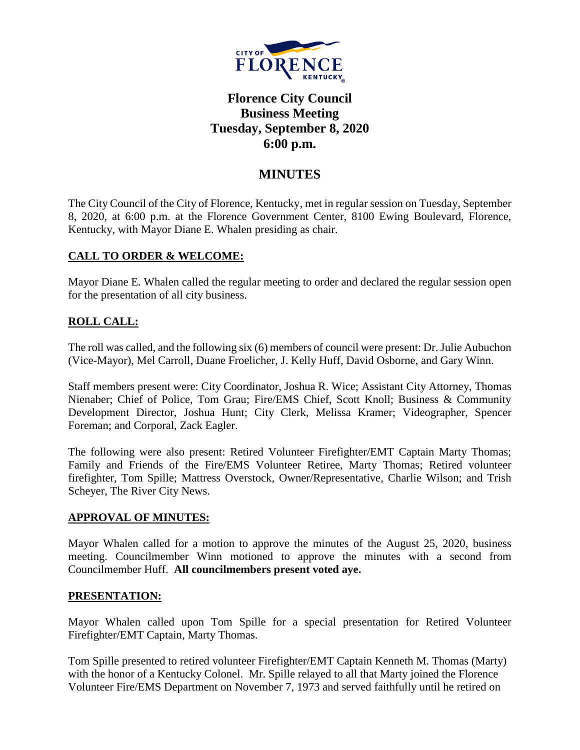

# **Florence City Council Business Meeting Tuesday, September 8, 2020 6:00 p.m.**

# **MINUTES**

The City Council of the City of Florence, Kentucky, met in regular session on Tuesday, September 8, 2020, at 6:00 p.m. at the Florence Government Center, 8100 Ewing Boulevard, Florence, Kentucky, with Mayor Diane E. Whalen presiding as chair.

#### **CALL TO ORDER & WELCOME:**

Mayor Diane E. Whalen called the regular meeting to order and declared the regular session open for the presentation of all city business.

### **ROLL CALL:**

The roll was called, and the following six (6) members of council were present: Dr. Julie Aubuchon (Vice-Mayor), Mel Carroll, Duane Froelicher, J. Kelly Huff, David Osborne, and Gary Winn.

Staff members present were: City Coordinator, Joshua R. Wice; Assistant City Attorney, Thomas Nienaber; Chief of Police, Tom Grau; Fire/EMS Chief, Scott Knoll; Business & Community Development Director, Joshua Hunt; City Clerk, Melissa Kramer; Videographer, Spencer Foreman; and Corporal, Zack Eagler.

The following were also present: Retired Volunteer Firefighter/EMT Captain Marty Thomas; Family and Friends of the Fire/EMS Volunteer Retiree, Marty Thomas; Retired volunteer firefighter, Tom Spille; Mattress Overstock, Owner/Representative, Charlie Wilson; and Trish Scheyer, The River City News.

#### **APPROVAL OF MINUTES:**

Mayor Whalen called for a motion to approve the minutes of the August 25, 2020, business meeting. Councilmember Winn motioned to approve the minutes with a second from Councilmember Huff. **All councilmembers present voted aye.** 

#### **PRESENTATION:**

Mayor Whalen called upon Tom Spille for a special presentation for Retired Volunteer Firefighter/EMT Captain, Marty Thomas.

Tom Spille presented to retired volunteer Firefighter/EMT Captain Kenneth M. Thomas (Marty) with the honor of a Kentucky Colonel. Mr. Spille relayed to all that Marty joined the Florence Volunteer Fire/EMS Department on November 7, 1973 and served faithfully until he retired on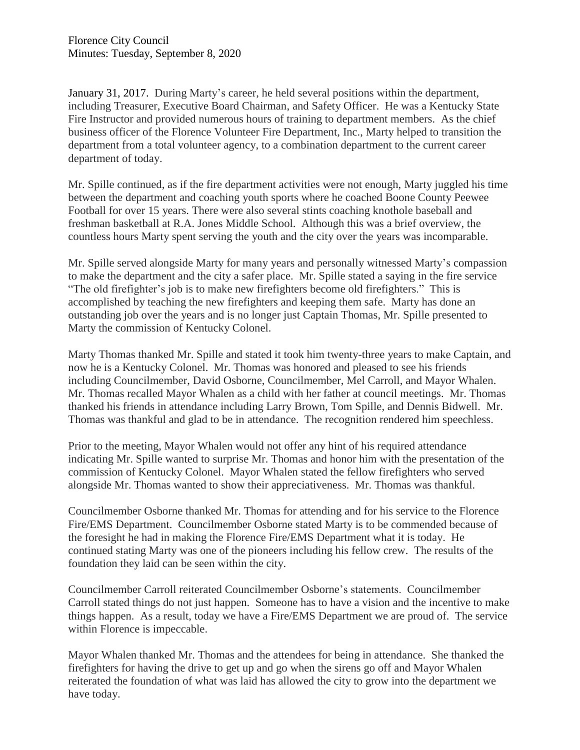January 31, 2017. During Marty's career, he held several positions within the department, including Treasurer, Executive Board Chairman, and Safety Officer. He was a Kentucky State Fire Instructor and provided numerous hours of training to department members. As the chief business officer of the Florence Volunteer Fire Department, Inc., Marty helped to transition the department from a total volunteer agency, to a combination department to the current career department of today.

Mr. Spille continued, as if the fire department activities were not enough, Marty juggled his time between the department and coaching youth sports where he coached Boone County Peewee Football for over 15 years. There were also several stints coaching knothole baseball and freshman basketball at R.A. Jones Middle School. Although this was a brief overview, the countless hours Marty spent serving the youth and the city over the years was incomparable.

Mr. Spille served alongside Marty for many years and personally witnessed Marty's compassion to make the department and the city a safer place. Mr. Spille stated a saying in the fire service "The old firefighter's job is to make new firefighters become old firefighters." This is accomplished by teaching the new firefighters and keeping them safe. Marty has done an outstanding job over the years and is no longer just Captain Thomas, Mr. Spille presented to Marty the commission of Kentucky Colonel.

Marty Thomas thanked Mr. Spille and stated it took him twenty-three years to make Captain, and now he is a Kentucky Colonel. Mr. Thomas was honored and pleased to see his friends including Councilmember, David Osborne, Councilmember, Mel Carroll, and Mayor Whalen. Mr. Thomas recalled Mayor Whalen as a child with her father at council meetings. Mr. Thomas thanked his friends in attendance including Larry Brown, Tom Spille, and Dennis Bidwell. Mr. Thomas was thankful and glad to be in attendance. The recognition rendered him speechless.

Prior to the meeting, Mayor Whalen would not offer any hint of his required attendance indicating Mr. Spille wanted to surprise Mr. Thomas and honor him with the presentation of the commission of Kentucky Colonel. Mayor Whalen stated the fellow firefighters who served alongside Mr. Thomas wanted to show their appreciativeness. Mr. Thomas was thankful.

Councilmember Osborne thanked Mr. Thomas for attending and for his service to the Florence Fire/EMS Department. Councilmember Osborne stated Marty is to be commended because of the foresight he had in making the Florence Fire/EMS Department what it is today. He continued stating Marty was one of the pioneers including his fellow crew. The results of the foundation they laid can be seen within the city.

Councilmember Carroll reiterated Councilmember Osborne's statements. Councilmember Carroll stated things do not just happen. Someone has to have a vision and the incentive to make things happen. As a result, today we have a Fire/EMS Department we are proud of. The service within Florence is impeccable.

Mayor Whalen thanked Mr. Thomas and the attendees for being in attendance. She thanked the firefighters for having the drive to get up and go when the sirens go off and Mayor Whalen reiterated the foundation of what was laid has allowed the city to grow into the department we have today.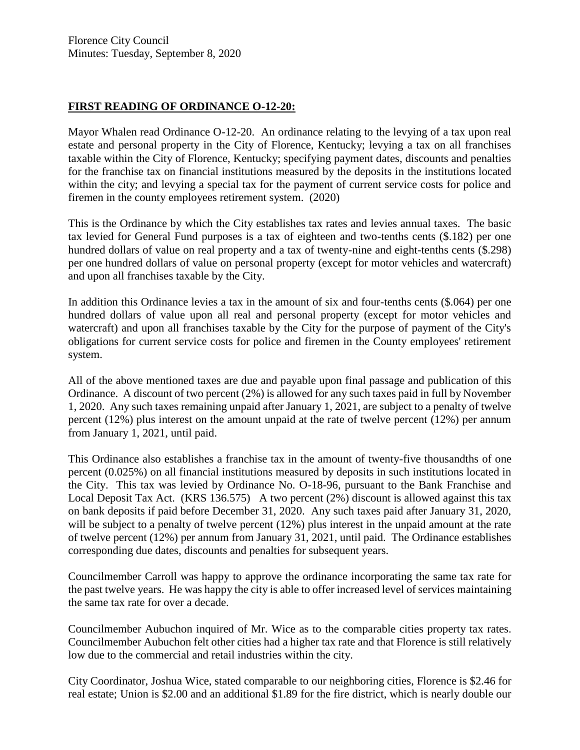#### **FIRST READING OF ORDINANCE O-12-20:**

Mayor Whalen read Ordinance O-12-20. An ordinance relating to the levying of a tax upon real estate and personal property in the City of Florence, Kentucky; levying a tax on all franchises taxable within the City of Florence, Kentucky; specifying payment dates, discounts and penalties for the franchise tax on financial institutions measured by the deposits in the institutions located within the city; and levying a special tax for the payment of current service costs for police and firemen in the county employees retirement system. (2020)

This is the Ordinance by which the City establishes tax rates and levies annual taxes. The basic tax levied for General Fund purposes is a tax of eighteen and two-tenths cents (\$.182) per one hundred dollars of value on real property and a tax of twenty-nine and eight-tenths cents (\$.298) per one hundred dollars of value on personal property (except for motor vehicles and watercraft) and upon all franchises taxable by the City.

In addition this Ordinance levies a tax in the amount of six and four-tenths cents (\$.064) per one hundred dollars of value upon all real and personal property (except for motor vehicles and watercraft) and upon all franchises taxable by the City for the purpose of payment of the City's obligations for current service costs for police and firemen in the County employees' retirement system.

All of the above mentioned taxes are due and payable upon final passage and publication of this Ordinance. A discount of two percent (2%) is allowed for any such taxes paid in full by November 1, 2020. Any such taxes remaining unpaid after January 1, 2021, are subject to a penalty of twelve percent (12%) plus interest on the amount unpaid at the rate of twelve percent (12%) per annum from January 1, 2021, until paid.

This Ordinance also establishes a franchise tax in the amount of twenty-five thousandths of one percent (0.025%) on all financial institutions measured by deposits in such institutions located in the City. This tax was levied by Ordinance No. O-18-96, pursuant to the Bank Franchise and Local Deposit Tax Act. (KRS 136.575) A two percent (2%) discount is allowed against this tax on bank deposits if paid before December 31, 2020. Any such taxes paid after January 31, 2020, will be subject to a penalty of twelve percent (12%) plus interest in the unpaid amount at the rate of twelve percent (12%) per annum from January 31, 2021, until paid. The Ordinance establishes corresponding due dates, discounts and penalties for subsequent years.

Councilmember Carroll was happy to approve the ordinance incorporating the same tax rate for the past twelve years. He was happy the city is able to offer increased level of services maintaining the same tax rate for over a decade.

Councilmember Aubuchon inquired of Mr. Wice as to the comparable cities property tax rates. Councilmember Aubuchon felt other cities had a higher tax rate and that Florence is still relatively low due to the commercial and retail industries within the city.

City Coordinator, Joshua Wice, stated comparable to our neighboring cities, Florence is \$2.46 for real estate; Union is \$2.00 and an additional \$1.89 for the fire district, which is nearly double our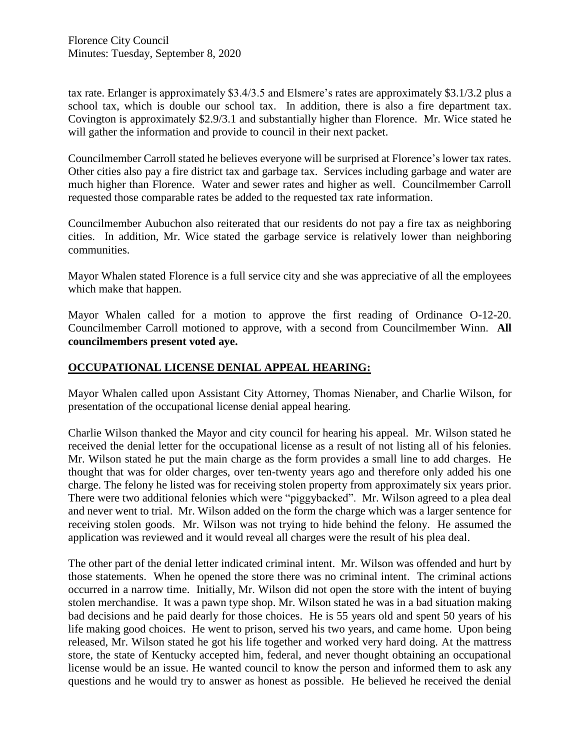tax rate. Erlanger is approximately \$3.4/3.5 and Elsmere's rates are approximately \$3.1/3.2 plus a school tax, which is double our school tax. In addition, there is also a fire department tax. Covington is approximately \$2.9/3.1 and substantially higher than Florence. Mr. Wice stated he will gather the information and provide to council in their next packet.

Councilmember Carroll stated he believes everyone will be surprised at Florence's lower tax rates. Other cities also pay a fire district tax and garbage tax. Services including garbage and water are much higher than Florence. Water and sewer rates and higher as well. Councilmember Carroll requested those comparable rates be added to the requested tax rate information.

Councilmember Aubuchon also reiterated that our residents do not pay a fire tax as neighboring cities. In addition, Mr. Wice stated the garbage service is relatively lower than neighboring communities.

Mayor Whalen stated Florence is a full service city and she was appreciative of all the employees which make that happen.

Mayor Whalen called for a motion to approve the first reading of Ordinance O-12-20. Councilmember Carroll motioned to approve, with a second from Councilmember Winn. **All councilmembers present voted aye.** 

#### **OCCUPATIONAL LICENSE DENIAL APPEAL HEARING:**

Mayor Whalen called upon Assistant City Attorney, Thomas Nienaber, and Charlie Wilson, for presentation of the occupational license denial appeal hearing.

Charlie Wilson thanked the Mayor and city council for hearing his appeal. Mr. Wilson stated he received the denial letter for the occupational license as a result of not listing all of his felonies. Mr. Wilson stated he put the main charge as the form provides a small line to add charges. He thought that was for older charges, over ten-twenty years ago and therefore only added his one charge. The felony he listed was for receiving stolen property from approximately six years prior. There were two additional felonies which were "piggybacked". Mr. Wilson agreed to a plea deal and never went to trial. Mr. Wilson added on the form the charge which was a larger sentence for receiving stolen goods. Mr. Wilson was not trying to hide behind the felony. He assumed the application was reviewed and it would reveal all charges were the result of his plea deal.

The other part of the denial letter indicated criminal intent. Mr. Wilson was offended and hurt by those statements. When he opened the store there was no criminal intent. The criminal actions occurred in a narrow time. Initially, Mr. Wilson did not open the store with the intent of buying stolen merchandise. It was a pawn type shop. Mr. Wilson stated he was in a bad situation making bad decisions and he paid dearly for those choices. He is 55 years old and spent 50 years of his life making good choices. He went to prison, served his two years, and came home. Upon being released, Mr. Wilson stated he got his life together and worked very hard doing. At the mattress store, the state of Kentucky accepted him, federal, and never thought obtaining an occupational license would be an issue. He wanted council to know the person and informed them to ask any questions and he would try to answer as honest as possible. He believed he received the denial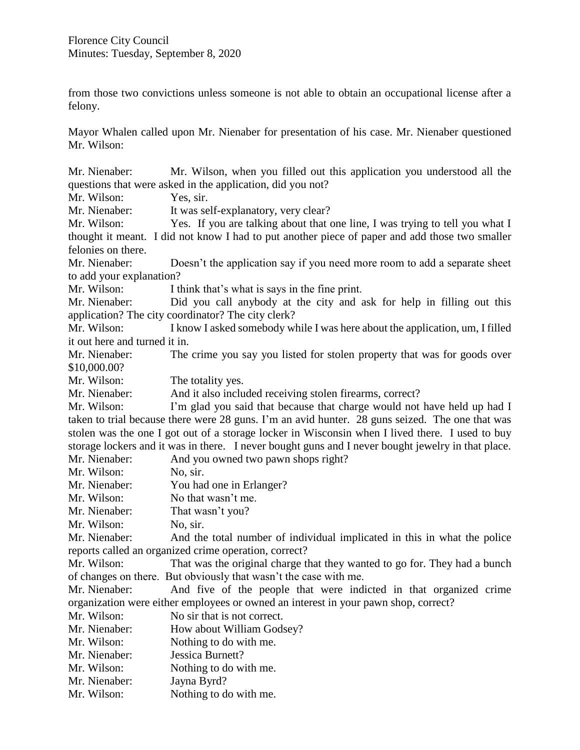from those two convictions unless someone is not able to obtain an occupational license after a felony.

Mayor Whalen called upon Mr. Nienaber for presentation of his case. Mr. Nienaber questioned Mr. Wilson:

Mr. Nienaber: Mr. Wilson, when you filled out this application you understood all the questions that were asked in the application, did you not? Mr. Wilson: Yes, sir. Mr. Nienaber: It was self-explanatory, very clear? Mr. Wilson: Yes. If you are talking about that one line, I was trying to tell you what I thought it meant. I did not know I had to put another piece of paper and add those two smaller felonies on there. Mr. Nienaber: Doesn't the application say if you need more room to add a separate sheet to add your explanation? Mr. Wilson: I think that's what is says in the fine print. Mr. Nienaber: Did you call anybody at the city and ask for help in filling out this application? The city coordinator? The city clerk? Mr. Wilson: I know I asked somebody while I was here about the application, um, I filled it out here and turned it in. Mr. Nienaber: The crime you say you listed for stolen property that was for goods over \$10,000.00? Mr. Wilson: The totality yes. Mr. Nienaber: And it also included receiving stolen firearms, correct? Mr. Wilson: I'm glad you said that because that charge would not have held up had I taken to trial because there were 28 guns. I'm an avid hunter. 28 guns seized. The one that was stolen was the one I got out of a storage locker in Wisconsin when I lived there. I used to buy storage lockers and it was in there. I never bought guns and I never bought jewelry in that place. Mr. Nienaber: And you owned two pawn shops right? Mr. Wilson: No. sir. Mr. Nienaber: You had one in Erlanger? Mr. Wilson: No that wasn't me. Mr. Nienaber: That wasn't you? Mr. Wilson: No, sir. Mr. Nienaber: And the total number of individual implicated in this in what the police reports called an organized crime operation, correct? Mr. Wilson: That was the original charge that they wanted to go for. They had a bunch of changes on there. But obviously that wasn't the case with me. Mr. Nienaber: And five of the people that were indicted in that organized crime organization were either employees or owned an interest in your pawn shop, correct? Mr. Wilson: No sir that is not correct. Mr. Nienaber: How about William Godsey? Mr. Wilson: Nothing to do with me. Mr. Nienaber: Jessica Burnett? Mr. Wilson: Nothing to do with me. Mr. Nienaber: Jayna Byrd? Mr. Wilson: Nothing to do with me.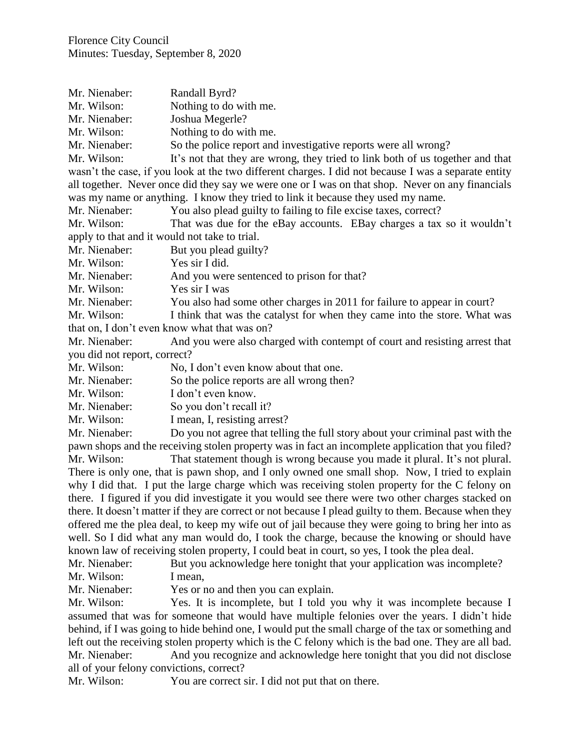| Mr. Nienaber:                                                                                      | Randall Byrd?                                                                                        |
|----------------------------------------------------------------------------------------------------|------------------------------------------------------------------------------------------------------|
| Mr. Wilson:                                                                                        | Nothing to do with me.                                                                               |
| Mr. Nienaber:                                                                                      | Joshua Megerle?                                                                                      |
| Mr. Wilson:                                                                                        | Nothing to do with me.                                                                               |
| Mr. Nienaber:                                                                                      | So the police report and investigative reports were all wrong?                                       |
| Mr. Wilson:                                                                                        | It's not that they are wrong, they tried to link both of us together and that                        |
|                                                                                                    | wasn't the case, if you look at the two different charges. I did not because I was a separate entity |
|                                                                                                    | all together. Never once did they say we were one or I was on that shop. Never on any financials     |
| was my name or anything. I know they tried to link it because they used my name.                   |                                                                                                      |
| Mr. Nienaber:                                                                                      | You also plead guilty to failing to file excise taxes, correct?                                      |
| Mr. Wilson:                                                                                        | That was due for the eBay accounts. EBay charges a tax so it wouldn't                                |
| apply to that and it would not take to trial.                                                      |                                                                                                      |
| Mr. Nienaber:                                                                                      | But you plead guilty?                                                                                |
| Mr. Wilson:                                                                                        | Yes sir I did.                                                                                       |
| Mr. Nienaber:                                                                                      | And you were sentenced to prison for that?                                                           |
| Mr. Wilson:                                                                                        | Yes sir I was                                                                                        |
| Mr. Nienaber:                                                                                      | You also had some other charges in 2011 for failure to appear in court?                              |
| Mr. Wilson:                                                                                        | I think that was the catalyst for when they came into the store. What was                            |
| that on, I don't even know what that was on?                                                       |                                                                                                      |
| Mr. Nienaber:                                                                                      | And you were also charged with contempt of court and resisting arrest that                           |
| you did not report, correct?                                                                       |                                                                                                      |
| Mr. Wilson:                                                                                        | No, I don't even know about that one.                                                                |
| Mr. Nienaber:                                                                                      | So the police reports are all wrong then?                                                            |
| Mr. Wilson:                                                                                        | I don't even know.                                                                                   |
| Mr. Nienaber:                                                                                      | So you don't recall it?                                                                              |
| Mr. Wilson:                                                                                        | I mean, I, resisting arrest?                                                                         |
| Mr. Nienaber:                                                                                      | Do you not agree that telling the full story about your criminal past with the                       |
| pawn shops and the receiving stolen property was in fact an incomplete application that you filed? |                                                                                                      |
| Mr. Wilson:                                                                                        | That statement though is wrong because you made it plural. It's not plural.                          |
| There is only one that is nawn shop and Lonly owned one small shop. Now I tried to explain         |                                                                                                      |

ly one, that is pawn shop, and I only owned one small shop. Now, I tried to explain why I did that. I put the large charge which was receiving stolen property for the C felony on there. I figured if you did investigate it you would see there were two other charges stacked on there. It doesn't matter if they are correct or not because I plead guilty to them. Because when they offered me the plea deal, to keep my wife out of jail because they were going to bring her into as well. So I did what any man would do, I took the charge, because the knowing or should have known law of receiving stolen property, I could beat in court, so yes, I took the plea deal.

Mr. Nienaber: But you acknowledge here tonight that your application was incomplete? Mr. Wilson: I mean,

Mr. Nienaber: Yes or no and then you can explain.

Mr. Wilson: Yes. It is incomplete, but I told you why it was incomplete because I assumed that was for someone that would have multiple felonies over the years. I didn't hide behind, if I was going to hide behind one, I would put the small charge of the tax or something and left out the receiving stolen property which is the C felony which is the bad one. They are all bad. Mr. Nienaber: And you recognize and acknowledge here tonight that you did not disclose all of your felony convictions, correct?

Mr. Wilson: You are correct sir. I did not put that on there.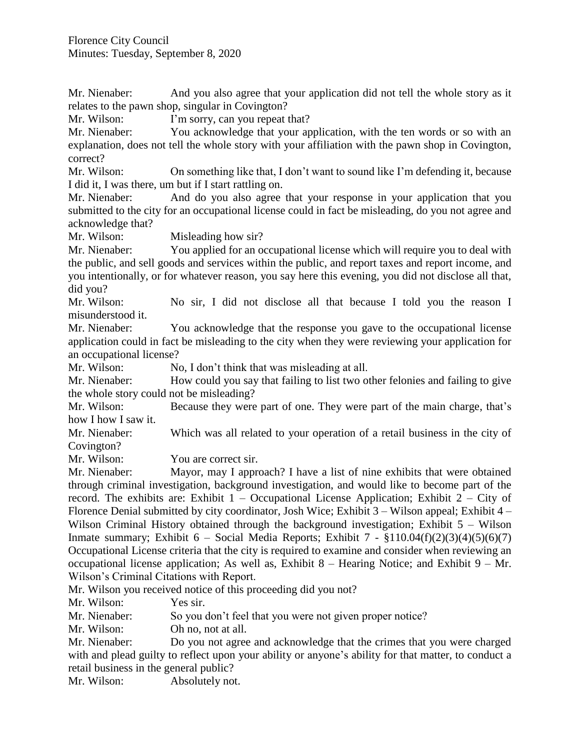Mr. Nienaber: And you also agree that your application did not tell the whole story as it relates to the pawn shop, singular in Covington?

Mr. Wilson: I'm sorry, can you repeat that?

Mr. Nienaber: You acknowledge that your application, with the ten words or so with an explanation, does not tell the whole story with your affiliation with the pawn shop in Covington, correct?

Mr. Wilson: On something like that, I don't want to sound like I'm defending it, because I did it, I was there, um but if I start rattling on.

Mr. Nienaber: And do you also agree that your response in your application that you submitted to the city for an occupational license could in fact be misleading, do you not agree and acknowledge that?

Mr. Wilson: Misleading how sir?

Mr. Nienaber: You applied for an occupational license which will require you to deal with the public, and sell goods and services within the public, and report taxes and report income, and you intentionally, or for whatever reason, you say here this evening, you did not disclose all that, did you?

Mr. Wilson: No sir, I did not disclose all that because I told you the reason I misunderstood it.

Mr. Nienaber: You acknowledge that the response you gave to the occupational license application could in fact be misleading to the city when they were reviewing your application for an occupational license?

Mr. Wilson: No, I don't think that was misleading at all.

Mr. Nienaber: How could you say that failing to list two other felonies and failing to give the whole story could not be misleading?

Mr. Wilson: Because they were part of one. They were part of the main charge, that's how I how I saw it.

Mr. Nienaber: Which was all related to your operation of a retail business in the city of Covington?

Mr. Wilson: You are correct sir.

Mr. Nienaber: Mayor, may I approach? I have a list of nine exhibits that were obtained through criminal investigation, background investigation, and would like to become part of the record. The exhibits are: Exhibit  $1 -$  Occupational License Application; Exhibit  $2 -$  City of Florence Denial submitted by city coordinator, Josh Wice; Exhibit 3 – Wilson appeal; Exhibit 4 – Wilson Criminal History obtained through the background investigation; Exhibit 5 – Wilson Inmate summary; Exhibit 6 – Social Media Reports; Exhibit 7 -  $$110.04(f)(2)(3)(4)(5)(6)(7)$ Occupational License criteria that the city is required to examine and consider when reviewing an occupational license application; As well as, Exhibit  $8$  – Hearing Notice; and Exhibit  $9$  – Mr. Wilson's Criminal Citations with Report.

Mr. Wilson you received notice of this proceeding did you not?

Mr. Wilson: Yes sir.

Mr. Nienaber: So you don't feel that you were not given proper notice?

Mr. Wilson: Oh no, not at all.

Mr. Nienaber: Do you not agree and acknowledge that the crimes that you were charged with and plead guilty to reflect upon your ability or anyone's ability for that matter, to conduct a retail business in the general public?

Mr. Wilson: Absolutely not.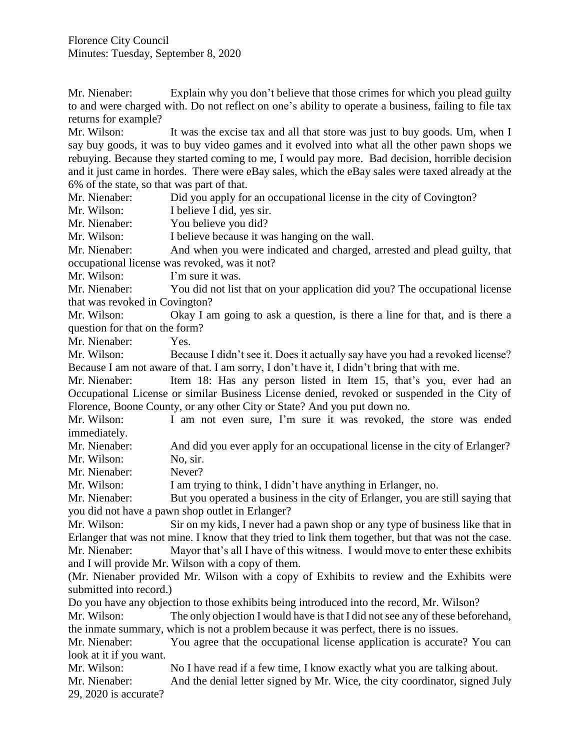Mr. Nienaber: Explain why you don't believe that those crimes for which you plead guilty to and were charged with. Do not reflect on one's ability to operate a business, failing to file tax returns for example?

Mr. Wilson: It was the excise tax and all that store was just to buy goods. Um, when I say buy goods, it was to buy video games and it evolved into what all the other pawn shops we rebuying. Because they started coming to me, I would pay more. Bad decision, horrible decision and it just came in hordes. There were eBay sales, which the eBay sales were taxed already at the 6% of the state, so that was part of that.

Mr. Nienaber: Did you apply for an occupational license in the city of Covington?

Mr. Wilson: I believe I did, yes sir.

Mr. Nienaber: You believe you did?

Mr. Wilson: I believe because it was hanging on the wall.

Mr. Nienaber: And when you were indicated and charged, arrested and plead guilty, that occupational license was revoked, was it not?

Mr. Wilson: I'm sure it was.

Mr. Nienaber: You did not list that on your application did you? The occupational license that was revoked in Covington?

Mr. Wilson: Okay I am going to ask a question, is there a line for that, and is there a question for that on the form?

Mr. Nienaber: Yes.

Mr. Wilson: Because I didn't see it. Does it actually say have you had a revoked license? Because I am not aware of that. I am sorry, I don't have it, I didn't bring that with me.

Mr. Nienaber: Item 18: Has any person listed in Item 15, that's you, ever had an Occupational License or similar Business License denied, revoked or suspended in the City of Florence, Boone County, or any other City or State? And you put down no.

Mr. Wilson: I am not even sure, I'm sure it was revoked, the store was ended immediately.

Mr. Nienaber: And did you ever apply for an occupational license in the city of Erlanger? Mr. Wilson: No, sir.

Mr. Nienaber: Never?

Mr. Wilson: I am trying to think, I didn't have anything in Erlanger, no.

Mr. Nienaber: But you operated a business in the city of Erlanger, you are still saying that you did not have a pawn shop outlet in Erlanger?

Mr. Wilson: Sir on my kids, I never had a pawn shop or any type of business like that in Erlanger that was not mine. I know that they tried to link them together, but that was not the case.

Mr. Nienaber: Mayor that's all I have of this witness. I would move to enter these exhibits and I will provide Mr. Wilson with a copy of them.

(Mr. Nienaber provided Mr. Wilson with a copy of Exhibits to review and the Exhibits were submitted into record.)

Do you have any objection to those exhibits being introduced into the record, Mr. Wilson?

Mr. Wilson: The only objection I would have is that I did not see any of these beforehand, the inmate summary, which is not a problem because it was perfect, there is no issues.

Mr. Nienaber: You agree that the occupational license application is accurate? You can look at it if you want.

Mr. Wilson: No I have read if a few time, I know exactly what you are talking about.

Mr. Nienaber: And the denial letter signed by Mr. Wice, the city coordinator, signed July 29, 2020 is accurate?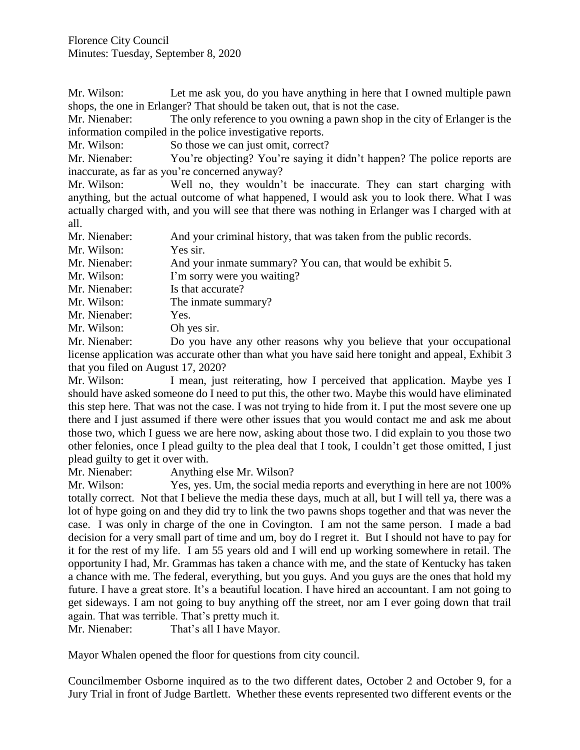Mr. Wilson: Let me ask you, do you have anything in here that I owned multiple pawn shops, the one in Erlanger? That should be taken out, that is not the case.

Mr. Nienaber: The only reference to you owning a pawn shop in the city of Erlanger is the information compiled in the police investigative reports.

Mr. Wilson: So those we can just omit, correct?

Mr. Nienaber: You're objecting? You're saying it didn't happen? The police reports are inaccurate, as far as you're concerned anyway?

Mr. Wilson: Well no, they wouldn't be inaccurate. They can start charging with anything, but the actual outcome of what happened, I would ask you to look there. What I was actually charged with, and you will see that there was nothing in Erlanger was I charged with at all.

Mr. Nienaber: And your criminal history, that was taken from the public records.

Mr. Wilson: Yes sir.

Mr. Nienaber: And your inmate summary? You can, that would be exhibit 5.

Mr. Wilson: I'm sorry were you waiting?

Mr. Nienaber: Is that accurate?

Mr. Wilson: The inmate summary?

Mr. Nienaber: Yes.

Mr. Wilson: Oh yes sir.

Mr. Nienaber: Do you have any other reasons why you believe that your occupational license application was accurate other than what you have said here tonight and appeal, Exhibit 3 that you filed on August 17, 2020?

Mr. Wilson: I mean, just reiterating, how I perceived that application. Maybe yes I should have asked someone do I need to put this, the other two. Maybe this would have eliminated this step here. That was not the case. I was not trying to hide from it. I put the most severe one up there and I just assumed if there were other issues that you would contact me and ask me about those two, which I guess we are here now, asking about those two. I did explain to you those two other felonies, once I plead guilty to the plea deal that I took, I couldn't get those omitted, I just plead guilty to get it over with.

Mr. Nienaber: Anything else Mr. Wilson?

Mr. Wilson: Yes, yes. Um, the social media reports and everything in here are not 100% totally correct. Not that I believe the media these days, much at all, but I will tell ya, there was a lot of hype going on and they did try to link the two pawns shops together and that was never the case. I was only in charge of the one in Covington. I am not the same person. I made a bad decision for a very small part of time and um, boy do I regret it. But I should not have to pay for it for the rest of my life. I am 55 years old and I will end up working somewhere in retail. The opportunity I had, Mr. Grammas has taken a chance with me, and the state of Kentucky has taken a chance with me. The federal, everything, but you guys. And you guys are the ones that hold my future. I have a great store. It's a beautiful location. I have hired an accountant. I am not going to get sideways. I am not going to buy anything off the street, nor am I ever going down that trail again. That was terrible. That's pretty much it.

Mr. Nienaber: That's all I have Mayor.

Mayor Whalen opened the floor for questions from city council.

Councilmember Osborne inquired as to the two different dates, October 2 and October 9, for a Jury Trial in front of Judge Bartlett. Whether these events represented two different events or the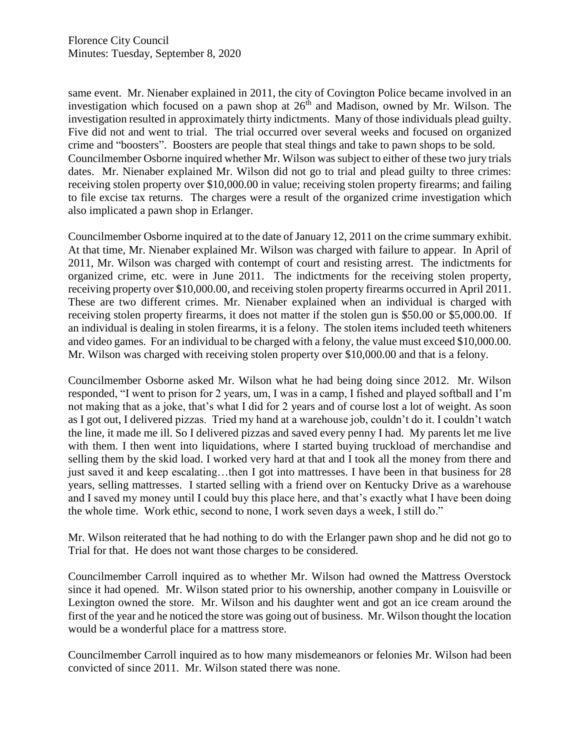same event. Mr. Nienaber explained in 2011, the city of Covington Police became involved in an investigation which focused on a pawn shop at  $26<sup>th</sup>$  and Madison, owned by Mr. Wilson. The investigation resulted in approximately thirty indictments. Many of those individuals plead guilty. Five did not and went to trial. The trial occurred over several weeks and focused on organized crime and "boosters". Boosters are people that steal things and take to pawn shops to be sold. Councilmember Osborne inquired whether Mr. Wilson was subject to either of these two jury trials dates. Mr. Nienaber explained Mr. Wilson did not go to trial and plead guilty to three crimes: receiving stolen property over \$10,000.00 in value; receiving stolen property firearms; and failing to file excise tax returns. The charges were a result of the organized crime investigation which also implicated a pawn shop in Erlanger.

Councilmember Osborne inquired at to the date of January 12, 2011 on the crime summary exhibit. At that time, Mr. Nienaber explained Mr. Wilson was charged with failure to appear. In April of 2011, Mr. Wilson was charged with contempt of court and resisting arrest. The indictments for organized crime, etc. were in June 2011. The indictments for the receiving stolen property, receiving property over \$10,000.00, and receiving stolen property firearms occurred in April 2011. These are two different crimes. Mr. Nienaber explained when an individual is charged with receiving stolen property firearms, it does not matter if the stolen gun is \$50.00 or \$5,000.00. If an individual is dealing in stolen firearms, it is a felony. The stolen items included teeth whiteners and video games. For an individual to be charged with a felony, the value must exceed \$10,000.00. Mr. Wilson was charged with receiving stolen property over \$10,000.00 and that is a felony.

Councilmember Osborne asked Mr. Wilson what he had being doing since 2012. Mr. Wilson responded, "I went to prison for 2 years, um, I was in a camp, I fished and played softball and I'm not making that as a joke, that's what I did for 2 years and of course lost a lot of weight. As soon as I got out, I delivered pizzas. Tried my hand at a warehouse job, couldn't do it. I couldn't watch the line, it made me ill. So I delivered pizzas and saved every penny I had. My parents let me live with them. I then went into liquidations, where I started buying truckload of merchandise and selling them by the skid load. I worked very hard at that and I took all the money from there and just saved it and keep escalating…then I got into mattresses. I have been in that business for 28 years, selling mattresses. I started selling with a friend over on Kentucky Drive as a warehouse and I saved my money until I could buy this place here, and that's exactly what I have been doing the whole time. Work ethic, second to none, I work seven days a week, I still do."

Mr. Wilson reiterated that he had nothing to do with the Erlanger pawn shop and he did not go to Trial for that. He does not want those charges to be considered.

Councilmember Carroll inquired as to whether Mr. Wilson had owned the Mattress Overstock since it had opened. Mr. Wilson stated prior to his ownership, another company in Louisville or Lexington owned the store. Mr. Wilson and his daughter went and got an ice cream around the first of the year and he noticed the store was going out of business. Mr. Wilson thought the location would be a wonderful place for a mattress store.

Councilmember Carroll inquired as to how many misdemeanors or felonies Mr. Wilson had been convicted of since 2011. Mr. Wilson stated there was none.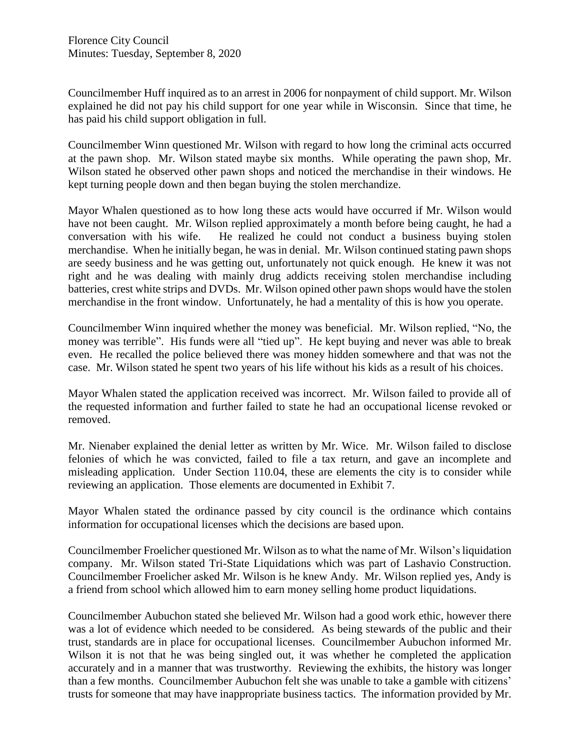Councilmember Huff inquired as to an arrest in 2006 for nonpayment of child support. Mr. Wilson explained he did not pay his child support for one year while in Wisconsin. Since that time, he has paid his child support obligation in full.

Councilmember Winn questioned Mr. Wilson with regard to how long the criminal acts occurred at the pawn shop. Mr. Wilson stated maybe six months. While operating the pawn shop, Mr. Wilson stated he observed other pawn shops and noticed the merchandise in their windows. He kept turning people down and then began buying the stolen merchandize.

Mayor Whalen questioned as to how long these acts would have occurred if Mr. Wilson would have not been caught. Mr. Wilson replied approximately a month before being caught, he had a conversation with his wife. He realized he could not conduct a business buying stolen merchandise. When he initially began, he was in denial. Mr. Wilson continued stating pawn shops are seedy business and he was getting out, unfortunately not quick enough. He knew it was not right and he was dealing with mainly drug addicts receiving stolen merchandise including batteries, crest white strips and DVDs. Mr. Wilson opined other pawn shops would have the stolen merchandise in the front window. Unfortunately, he had a mentality of this is how you operate.

Councilmember Winn inquired whether the money was beneficial. Mr. Wilson replied, "No, the money was terrible". His funds were all "tied up". He kept buying and never was able to break even. He recalled the police believed there was money hidden somewhere and that was not the case. Mr. Wilson stated he spent two years of his life without his kids as a result of his choices.

Mayor Whalen stated the application received was incorrect. Mr. Wilson failed to provide all of the requested information and further failed to state he had an occupational license revoked or removed.

Mr. Nienaber explained the denial letter as written by Mr. Wice. Mr. Wilson failed to disclose felonies of which he was convicted, failed to file a tax return, and gave an incomplete and misleading application. Under Section 110.04, these are elements the city is to consider while reviewing an application. Those elements are documented in Exhibit 7.

Mayor Whalen stated the ordinance passed by city council is the ordinance which contains information for occupational licenses which the decisions are based upon.

Councilmember Froelicher questioned Mr. Wilson as to what the name of Mr. Wilson's liquidation company. Mr. Wilson stated Tri-State Liquidations which was part of Lashavio Construction. Councilmember Froelicher asked Mr. Wilson is he knew Andy. Mr. Wilson replied yes, Andy is a friend from school which allowed him to earn money selling home product liquidations.

Councilmember Aubuchon stated she believed Mr. Wilson had a good work ethic, however there was a lot of evidence which needed to be considered. As being stewards of the public and their trust, standards are in place for occupational licenses. Councilmember Aubuchon informed Mr. Wilson it is not that he was being singled out, it was whether he completed the application accurately and in a manner that was trustworthy. Reviewing the exhibits, the history was longer than a few months. Councilmember Aubuchon felt she was unable to take a gamble with citizens' trusts for someone that may have inappropriate business tactics. The information provided by Mr.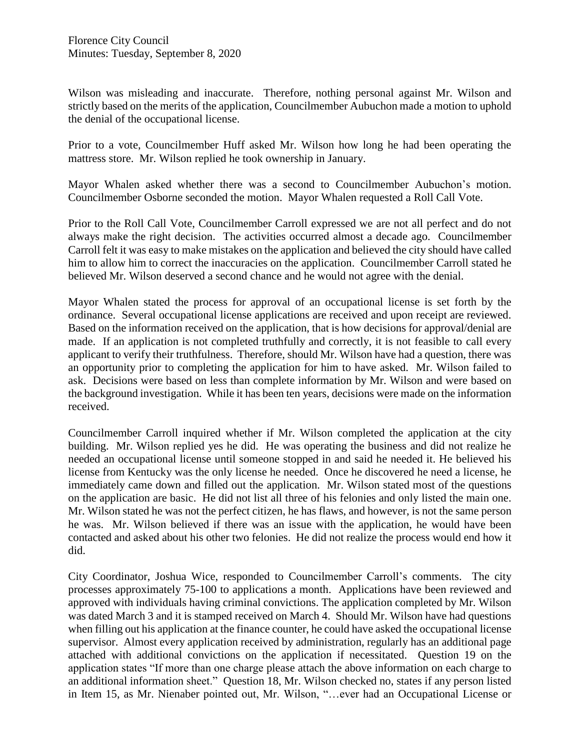Wilson was misleading and inaccurate. Therefore, nothing personal against Mr. Wilson and strictly based on the merits of the application, Councilmember Aubuchon made a motion to uphold the denial of the occupational license.

Prior to a vote, Councilmember Huff asked Mr. Wilson how long he had been operating the mattress store. Mr. Wilson replied he took ownership in January.

Mayor Whalen asked whether there was a second to Councilmember Aubuchon's motion. Councilmember Osborne seconded the motion. Mayor Whalen requested a Roll Call Vote.

Prior to the Roll Call Vote, Councilmember Carroll expressed we are not all perfect and do not always make the right decision. The activities occurred almost a decade ago. Councilmember Carroll felt it was easy to make mistakes on the application and believed the city should have called him to allow him to correct the inaccuracies on the application. Councilmember Carroll stated he believed Mr. Wilson deserved a second chance and he would not agree with the denial.

Mayor Whalen stated the process for approval of an occupational license is set forth by the ordinance. Several occupational license applications are received and upon receipt are reviewed. Based on the information received on the application, that is how decisions for approval/denial are made. If an application is not completed truthfully and correctly, it is not feasible to call every applicant to verify their truthfulness. Therefore, should Mr. Wilson have had a question, there was an opportunity prior to completing the application for him to have asked. Mr. Wilson failed to ask. Decisions were based on less than complete information by Mr. Wilson and were based on the background investigation. While it has been ten years, decisions were made on the information received.

Councilmember Carroll inquired whether if Mr. Wilson completed the application at the city building. Mr. Wilson replied yes he did. He was operating the business and did not realize he needed an occupational license until someone stopped in and said he needed it. He believed his license from Kentucky was the only license he needed. Once he discovered he need a license, he immediately came down and filled out the application. Mr. Wilson stated most of the questions on the application are basic. He did not list all three of his felonies and only listed the main one. Mr. Wilson stated he was not the perfect citizen, he has flaws, and however, is not the same person he was. Mr. Wilson believed if there was an issue with the application, he would have been contacted and asked about his other two felonies. He did not realize the process would end how it did.

City Coordinator, Joshua Wice, responded to Councilmember Carroll's comments. The city processes approximately 75-100 to applications a month. Applications have been reviewed and approved with individuals having criminal convictions. The application completed by Mr. Wilson was dated March 3 and it is stamped received on March 4. Should Mr. Wilson have had questions when filling out his application at the finance counter, he could have asked the occupational license supervisor. Almost every application received by administration, regularly has an additional page attached with additional convictions on the application if necessitated. Question 19 on the application states "If more than one charge please attach the above information on each charge to an additional information sheet." Question 18, Mr. Wilson checked no, states if any person listed in Item 15, as Mr. Nienaber pointed out, Mr. Wilson, "…ever had an Occupational License or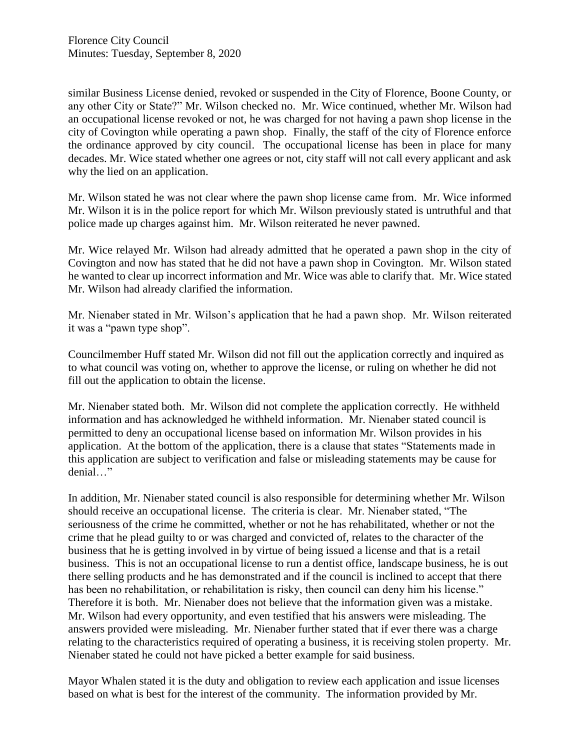similar Business License denied, revoked or suspended in the City of Florence, Boone County, or any other City or State?" Mr. Wilson checked no. Mr. Wice continued, whether Mr. Wilson had an occupational license revoked or not, he was charged for not having a pawn shop license in the city of Covington while operating a pawn shop. Finally, the staff of the city of Florence enforce the ordinance approved by city council. The occupational license has been in place for many decades. Mr. Wice stated whether one agrees or not, city staff will not call every applicant and ask why the lied on an application.

Mr. Wilson stated he was not clear where the pawn shop license came from. Mr. Wice informed Mr. Wilson it is in the police report for which Mr. Wilson previously stated is untruthful and that police made up charges against him. Mr. Wilson reiterated he never pawned.

Mr. Wice relayed Mr. Wilson had already admitted that he operated a pawn shop in the city of Covington and now has stated that he did not have a pawn shop in Covington. Mr. Wilson stated he wanted to clear up incorrect information and Mr. Wice was able to clarify that. Mr. Wice stated Mr. Wilson had already clarified the information.

Mr. Nienaber stated in Mr. Wilson's application that he had a pawn shop. Mr. Wilson reiterated it was a "pawn type shop".

Councilmember Huff stated Mr. Wilson did not fill out the application correctly and inquired as to what council was voting on, whether to approve the license, or ruling on whether he did not fill out the application to obtain the license.

Mr. Nienaber stated both. Mr. Wilson did not complete the application correctly. He withheld information and has acknowledged he withheld information. Mr. Nienaber stated council is permitted to deny an occupational license based on information Mr. Wilson provides in his application. At the bottom of the application, there is a clause that states "Statements made in this application are subject to verification and false or misleading statements may be cause for denial…"

In addition, Mr. Nienaber stated council is also responsible for determining whether Mr. Wilson should receive an occupational license. The criteria is clear. Mr. Nienaber stated, "The seriousness of the crime he committed, whether or not he has rehabilitated, whether or not the crime that he plead guilty to or was charged and convicted of, relates to the character of the business that he is getting involved in by virtue of being issued a license and that is a retail business. This is not an occupational license to run a dentist office, landscape business, he is out there selling products and he has demonstrated and if the council is inclined to accept that there has been no rehabilitation, or rehabilitation is risky, then council can deny him his license." Therefore it is both. Mr. Nienaber does not believe that the information given was a mistake. Mr. Wilson had every opportunity, and even testified that his answers were misleading. The answers provided were misleading. Mr. Nienaber further stated that if ever there was a charge relating to the characteristics required of operating a business, it is receiving stolen property. Mr. Nienaber stated he could not have picked a better example for said business.

Mayor Whalen stated it is the duty and obligation to review each application and issue licenses based on what is best for the interest of the community. The information provided by Mr.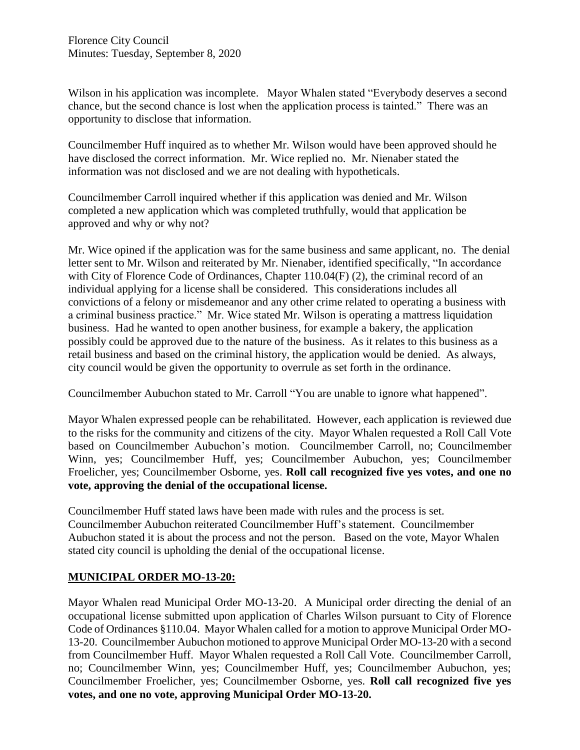Wilson in his application was incomplete. Mayor Whalen stated "Everybody deserves a second chance, but the second chance is lost when the application process is tainted." There was an opportunity to disclose that information.

Councilmember Huff inquired as to whether Mr. Wilson would have been approved should he have disclosed the correct information. Mr. Wice replied no. Mr. Nienaber stated the information was not disclosed and we are not dealing with hypotheticals.

Councilmember Carroll inquired whether if this application was denied and Mr. Wilson completed a new application which was completed truthfully, would that application be approved and why or why not?

Mr. Wice opined if the application was for the same business and same applicant, no. The denial letter sent to Mr. Wilson and reiterated by Mr. Nienaber, identified specifically, "In accordance with City of Florence Code of Ordinances, Chapter 110.04(F) (2), the criminal record of an individual applying for a license shall be considered. This considerations includes all convictions of a felony or misdemeanor and any other crime related to operating a business with a criminal business practice." Mr. Wice stated Mr. Wilson is operating a mattress liquidation business. Had he wanted to open another business, for example a bakery, the application possibly could be approved due to the nature of the business. As it relates to this business as a retail business and based on the criminal history, the application would be denied. As always, city council would be given the opportunity to overrule as set forth in the ordinance.

Councilmember Aubuchon stated to Mr. Carroll "You are unable to ignore what happened".

Mayor Whalen expressed people can be rehabilitated. However, each application is reviewed due to the risks for the community and citizens of the city. Mayor Whalen requested a Roll Call Vote based on Councilmember Aubuchon's motion. Councilmember Carroll, no; Councilmember Winn, yes; Councilmember Huff, yes; Councilmember Aubuchon, yes; Councilmember Froelicher, yes; Councilmember Osborne, yes. **Roll call recognized five yes votes, and one no vote, approving the denial of the occupational license.** 

Councilmember Huff stated laws have been made with rules and the process is set. Councilmember Aubuchon reiterated Councilmember Huff's statement. Councilmember Aubuchon stated it is about the process and not the person. Based on the vote, Mayor Whalen stated city council is upholding the denial of the occupational license.

#### **MUNICIPAL ORDER MO-13-20:**

Mayor Whalen read Municipal Order MO-13-20. A Municipal order directing the denial of an occupational license submitted upon application of Charles Wilson pursuant to City of Florence Code of Ordinances §110.04. Mayor Whalen called for a motion to approve Municipal Order MO-13-20. Councilmember Aubuchon motioned to approve Municipal Order MO-13-20 with a second from Councilmember Huff. Mayor Whalen requested a Roll Call Vote. Councilmember Carroll, no; Councilmember Winn, yes; Councilmember Huff, yes; Councilmember Aubuchon, yes; Councilmember Froelicher, yes; Councilmember Osborne, yes. **Roll call recognized five yes votes, and one no vote, approving Municipal Order MO-13-20.**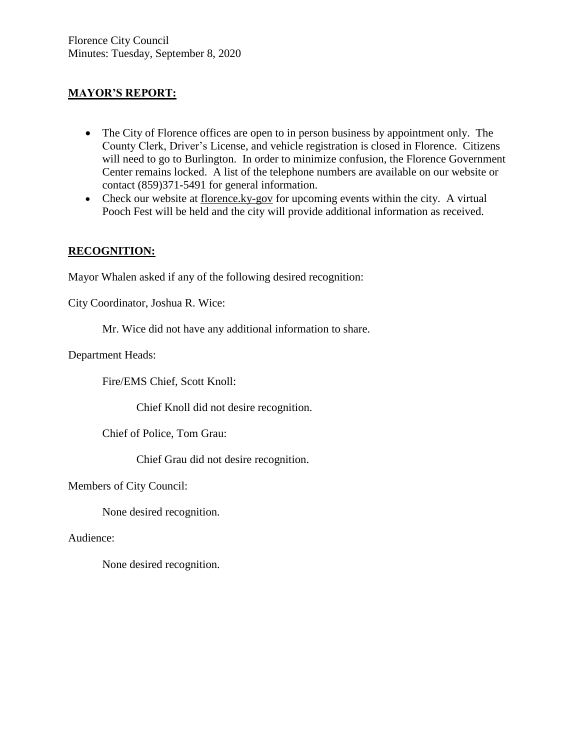## **MAYOR'S REPORT:**

- The City of Florence offices are open to in person business by appointment only. The County Clerk, Driver's License, and vehicle registration is closed in Florence. Citizens will need to go to Burlington. In order to minimize confusion, the Florence Government Center remains locked. A list of the telephone numbers are available on our website or contact (859)371-5491 for general information.
- Check our website at florence.ky-gov for upcoming events within the city. A virtual Pooch Fest will be held and the city will provide additional information as received.

#### **RECOGNITION:**

Mayor Whalen asked if any of the following desired recognition:

City Coordinator, Joshua R. Wice:

Mr. Wice did not have any additional information to share.

Department Heads:

Fire/EMS Chief, Scott Knoll:

Chief Knoll did not desire recognition.

Chief of Police, Tom Grau:

Chief Grau did not desire recognition.

Members of City Council:

None desired recognition.

Audience:

None desired recognition.